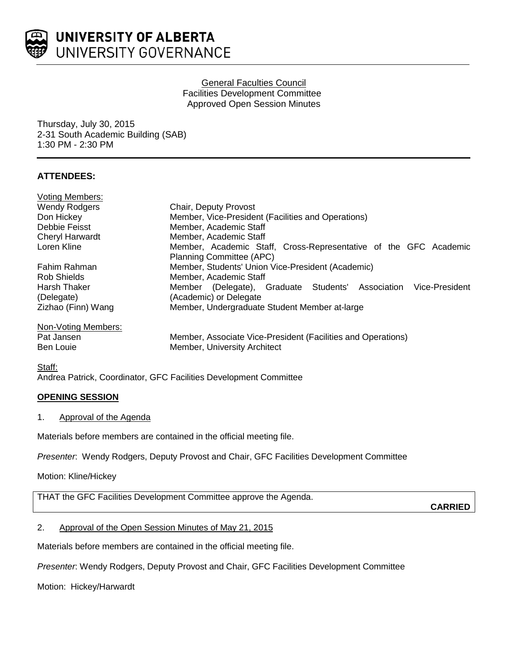

# General Faculties Council Facilities Development Committee Approved Open Session Minutes

Thursday, July 30, 2015 2-31 South Academic Building (SAB) 1:30 PM - 2:30 PM

# **ATTENDEES:**

| <b>Voting Members:</b> |                                                                     |
|------------------------|---------------------------------------------------------------------|
| <b>Wendy Rodgers</b>   | Chair, Deputy Provost                                               |
| Don Hickey             | Member, Vice-President (Facilities and Operations)                  |
| Debbie Feisst          | Member, Academic Staff                                              |
| <b>Cheryl Harwardt</b> | Member, Academic Staff                                              |
| Loren Kline            | Member, Academic Staff, Cross-Representative of the GFC Academic    |
|                        | Planning Committee (APC)                                            |
| Fahim Rahman           | Member, Students' Union Vice-President (Academic)                   |
| <b>Rob Shields</b>     | Member, Academic Staff                                              |
| <b>Harsh Thaker</b>    | Vice-President<br>Member (Delegate), Graduate Students' Association |
| (Delegate)             | (Academic) or Delegate                                              |
| Zizhao (Finn) Wang     | Member, Undergraduate Student Member at-large                       |
| Non-Voting Members:    |                                                                     |
| Pat Jansen             | Member, Associate Vice-President (Facilities and Operations)        |
| Ben Louie              | Member, University Architect                                        |

Staff: Andrea Patrick, Coordinator, GFC Facilities Development Committee

# **OPENING SESSION**

# 1. Approval of the Agenda

Materials before members are contained in the official meeting file.

*Presenter*: Wendy Rodgers, Deputy Provost and Chair, GFC Facilities Development Committee

Motion: Kline/Hickey

THAT the GFC Facilities Development Committee approve the Agenda.

**CARRIED**

# 2. Approval of the Open Session Minutes of May 21, 2015

Materials before members are contained in the official meeting file.

*Presenter*: Wendy Rodgers, Deputy Provost and Chair, GFC Facilities Development Committee

Motion: Hickey/Harwardt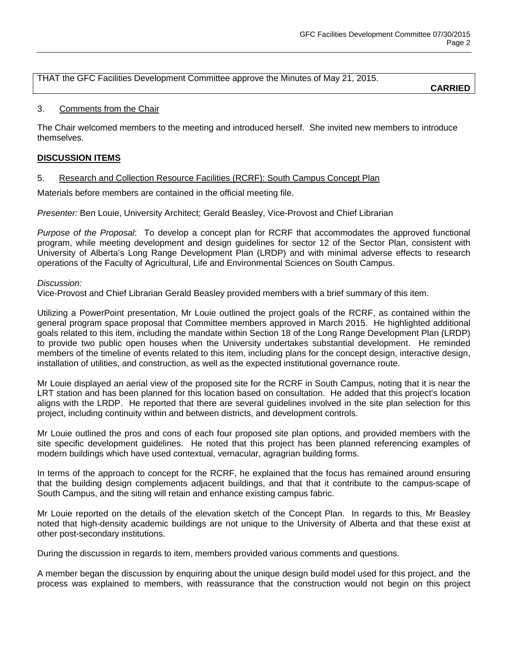THAT the GFC Facilities Development Committee approve the Minutes of May 21, 2015.

**CARRIED**

# 3. Comments from the Chair

The Chair welcomed members to the meeting and introduced herself. She invited new members to introduce themselves.

# **DISCUSSION ITEMS**

# 5. Research and Collection Resource Facilities (RCRF): South Campus Concept Plan

Materials before members are contained in the official meeting file.

*Presenter:* Ben Louie, University Architect; Gerald Beasley, Vice-Provost and Chief Librarian

*Purpose of the Proposal*: To develop a concept plan for RCRF that accommodates the approved functional program, while meeting development and design guidelines for sector 12 of the Sector Plan, consistent with University of Alberta's Long Range Development Plan (LRDP) and with minimal adverse effects to research operations of the Faculty of Agricultural, Life and Environmental Sciences on South Campus.

### *Discussion:*

Vice-Provost and Chief Librarian Gerald Beasley provided members with a brief summary of this item.

Utilizing a PowerPoint presentation, Mr Louie outlined the project goals of the RCRF, as contained within the general program space proposal that Committee members approved in March 2015. He highlighted additional goals related to this item, including the mandate within Section 18 of the Long Range Development Plan (LRDP) to provide two public open houses when the University undertakes substantial development. He reminded members of the timeline of events related to this item, including plans for the concept design, interactive design, installation of utilities, and construction, as well as the expected institutional governance route.

Mr Louie displayed an aerial view of the proposed site for the RCRF in South Campus, noting that it is near the LRT station and has been planned for this location based on consultation. He added that this project's location aligns with the LRDP. He reported that there are several guidelines involved in the site plan selection for this project, including continuity within and between districts, and development controls.

Mr Louie outlined the pros and cons of each four proposed site plan options, and provided members with the site specific development guidelines. He noted that this project has been planned referencing examples of modern buildings which have used contextual, vernacular, agragrian building forms.

In terms of the approach to concept for the RCRF, he explained that the focus has remained around ensuring that the building design complements adjacent buildings, and that that it contribute to the campus-scape of South Campus, and the siting will retain and enhance existing campus fabric.

Mr Louie reported on the details of the elevation sketch of the Concept Plan. In regards to this, Mr Beasley noted that high-density academic buildings are not unique to the University of Alberta and that these exist at other post-secondary institutions.

During the discussion in regards to item, members provided various comments and questions.

A member began the discussion by enquiring about the unique design build model used for this project, and the process was explained to members, with reassurance that the construction would not begin on this project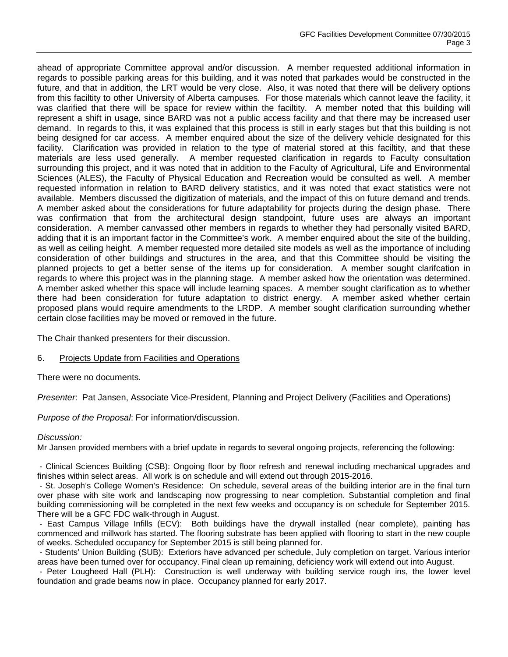ahead of appropriate Committee approval and/or discussion. A member requested additional information in regards to possible parking areas for this building, and it was noted that parkades would be constructed in the future, and that in addition, the LRT would be very close. Also, it was noted that there will be delivery options from this faciltity to other University of Alberta campuses. For those materials which cannot leave the facility, it was clarified that there will be space for review within the faciltity. A member noted that this building will represent a shift in usage, since BARD was not a public access facility and that there may be increased user demand. In regards to this, it was explained that this process is still in early stages but that this building is not being designed for car access. A member enquired about the size of the delivery vehicle designated for this facility. Clarification was provided in relation to the type of material stored at this faciltity, and that these materials are less used generally. A member requested clarification in regards to Faculty consultation surrounding this project, and it was noted that in addition to the Faculty of Agricultural, Life and Environmental Sciences (ALES), the Faculty of Physical Education and Recreation would be consulted as well. A member requested information in relation to BARD delivery statistics, and it was noted that exact statistics were not available. Members discussed the digitization of materials, and the impact of this on future demand and trends. A member asked about the considerations for future adaptability for projects during the design phase. There was confirmation that from the architectural design standpoint, future uses are always an important consideration. A member canvassed other members in regards to whether they had personally visited BARD, adding that it is an important factor in the Committee's work. A member enquired about the site of the building, as well as ceiling height. A member requested more detailed site models as well as the importance of including consideration of other buildings and structures in the area, and that this Committee should be visiting the planned projects to get a better sense of the items up for consideration. A member sought clarifcation in regards to where this project was in the planning stage. A member asked how the orientation was determined. A member asked whether this space will include learning spaces. A member sought clarification as to whether there had been consideration for future adaptation to district energy. A member asked whether certain proposed plans would require amendments to the LRDP. A member sought clarification surrounding whether certain close facilities may be moved or removed in the future.

The Chair thanked presenters for their discussion.

#### 6. Projects Update from Facilities and Operations

There were no documents.

*Presenter*: Pat Jansen, Associate Vice-President, Planning and Project Delivery (Facilities and Operations)

*Purpose of the Proposal*: For information/discussion.

#### *Discussion:*

Mr Jansen provided members with a brief update in regards to several ongoing projects, referencing the following:

- Clinical Sciences Building (CSB): Ongoing floor by floor refresh and renewal including mechanical upgrades and finishes within select areas. All work is on schedule and will extend out through 2015-2016.

- St. Joseph's College Women's Residence: On schedule, several areas of the building interior are in the final turn over phase with site work and landscaping now progressing to near completion. Substantial completion and final building commissioning will be completed in the next few weeks and occupancy is on schedule for September 2015. There will be a GFC FDC walk-through in August.

- East Campus Village Infills (ECV): Both buildings have the drywall installed (near complete), painting has commenced and millwork has started. The flooring substrate has been applied with flooring to start in the new couple of weeks. Scheduled occupancy for September 2015 is still being planned for.

- Students' Union Building (SUB): Exteriors have advanced per schedule, July completion on target. Various interior areas have been turned over for occupancy. Final clean up remaining, deficiency work will extend out into August.

- Peter Lougheed Hall (PLH): Construction is well underway with building service rough ins, the lower level foundation and grade beams now in place. Occupancy planned for early 2017.